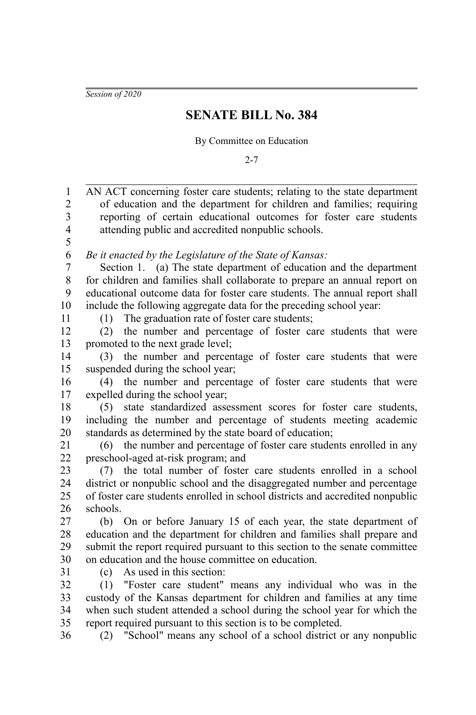*Session of 2020*

## **SENATE BILL No. 384**

By Committee on Education

2-7

| 1                       | AN ACT concerning foster care students; relating to the state department      |
|-------------------------|-------------------------------------------------------------------------------|
| $\overline{c}$          | of education and the department for children and families; requiring          |
| $\overline{\mathbf{3}}$ | reporting of certain educational outcomes for foster care students            |
| $\overline{\mathbf{4}}$ | attending public and accredited nonpublic schools.                            |
| 5                       |                                                                               |
| 6                       | Be it enacted by the Legislature of the State of Kansas:                      |
| $\boldsymbol{7}$        | Section 1. (a) The state department of education and the department           |
| $8\,$                   | for children and families shall collaborate to prepare an annual report on    |
| 9                       | educational outcome data for foster care students. The annual report shall    |
| 10                      | include the following aggregate data for the preceding school year:           |
| 11                      | The graduation rate of foster care students;<br>(1)                           |
| 12                      | the number and percentage of foster care students that were<br>(2)            |
| 13                      | promoted to the next grade level;                                             |
| 14                      | (3) the number and percentage of foster care students that were               |
| 15                      | suspended during the school year;                                             |
| 16                      | (4) the number and percentage of foster care students that were               |
| 17                      | expelled during the school year;                                              |
| 18                      | state standardized assessment scores for foster care students,<br>(5)         |
| 19                      | including the number and percentage of students meeting academic              |
| 20                      | standards as determined by the state board of education;                      |
| 21                      | (6) the number and percentage of foster care students enrolled in any         |
| 22                      | preschool-aged at-risk program; and                                           |
| 23                      | the total number of foster care students enrolled in a school<br>(7)          |
| 24                      | district or nonpublic school and the disaggregated number and percentage      |
| 25                      | of foster care students enrolled in school districts and accredited nonpublic |
| 26                      | schools.                                                                      |
| 27                      | (b) On or before January 15 of each year, the state department of             |
| 28                      | education and the department for children and families shall prepare and      |
| 29                      | submit the report required pursuant to this section to the senate committee   |
| 30                      | on education and the house committee on education.                            |
| 31                      | (c) As used in this section:                                                  |
| 32                      | (1) "Foster care student" means any individual who was in the                 |
| 33                      | custody of the Kansas department for children and families at any time        |
| 34                      | when such student attended a school during the school year for which the      |
| 35                      | report required pursuant to this section is to be completed.                  |
| 36                      | (2) "School" means any school of a school district or any nonpublic           |
|                         |                                                                               |